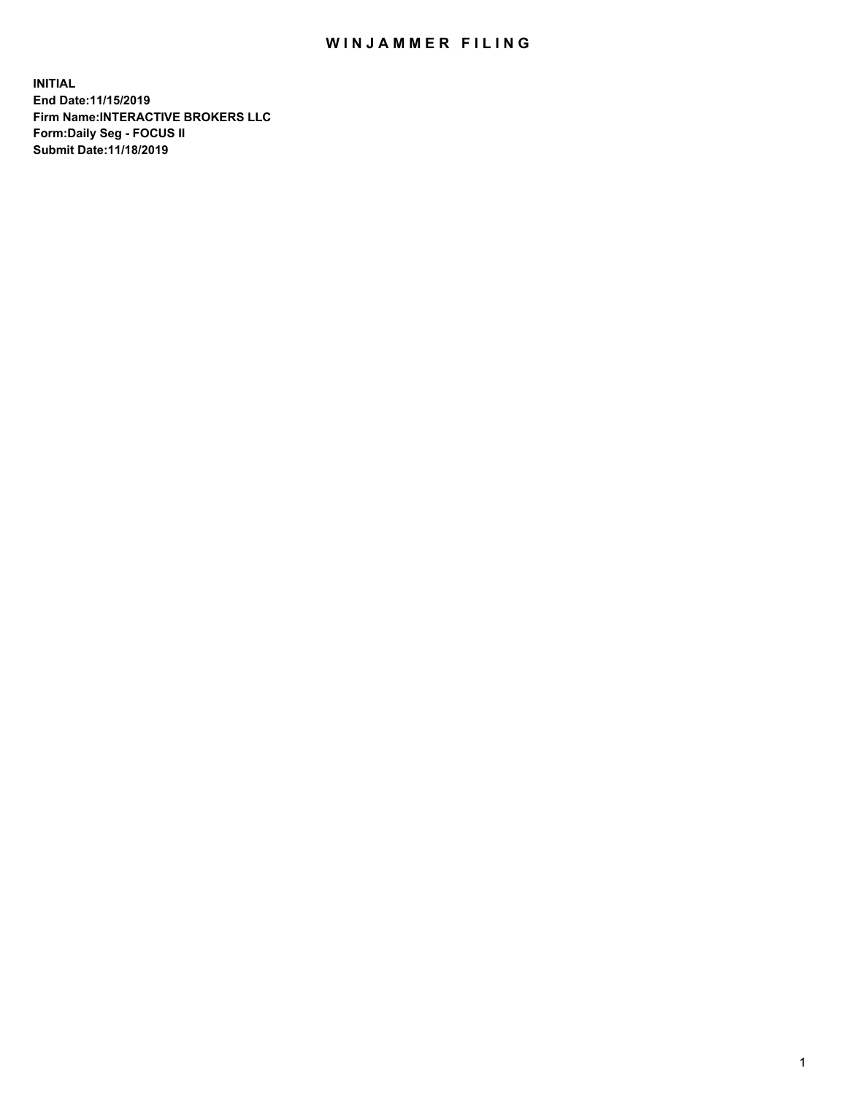## WIN JAMMER FILING

**INITIAL End Date:11/15/2019 Firm Name:INTERACTIVE BROKERS LLC Form:Daily Seg - FOCUS II Submit Date:11/18/2019**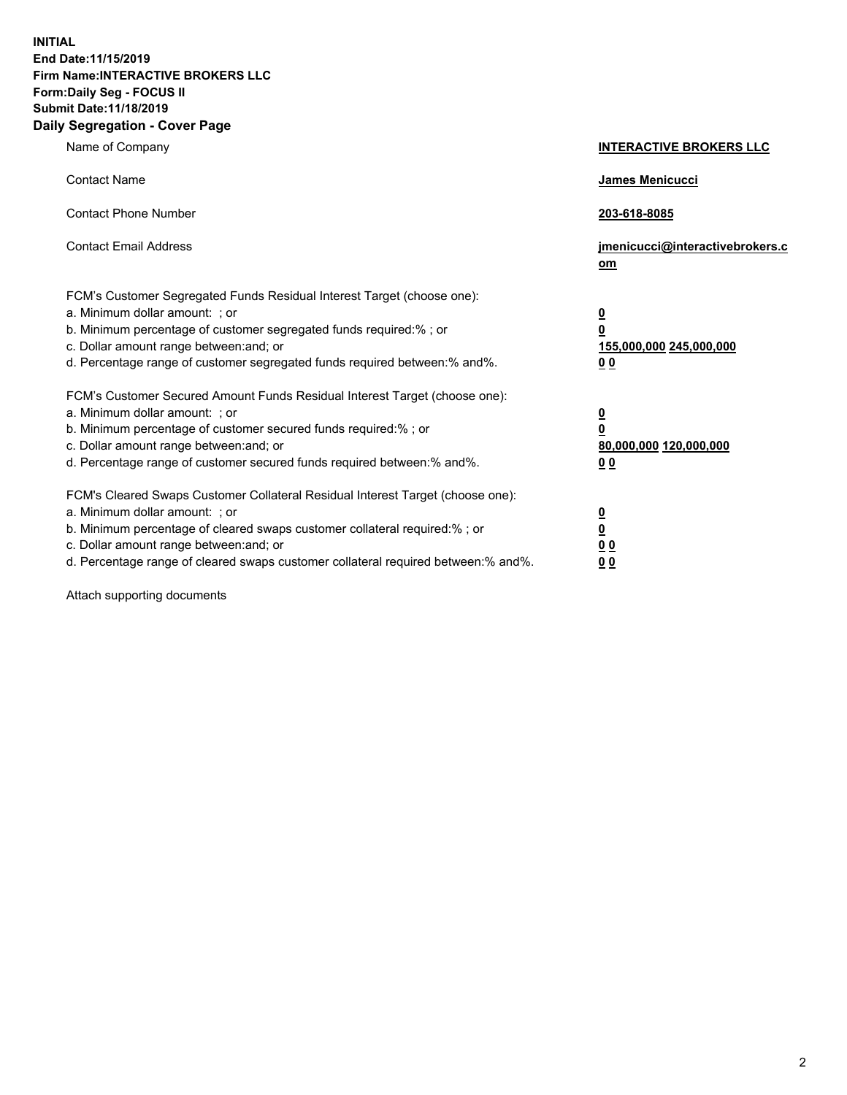**INITIAL End Date:11/15/2019 Firm Name:INTERACTIVE BROKERS LLC Form:Daily Seg - FOCUS II Submit Date:11/18/2019 Daily Segregation - Cover Page**

| Name of Company                                                                                                                                                                                                                                                                                                                | <b>INTERACTIVE BROKERS LLC</b>                                                                  |
|--------------------------------------------------------------------------------------------------------------------------------------------------------------------------------------------------------------------------------------------------------------------------------------------------------------------------------|-------------------------------------------------------------------------------------------------|
| <b>Contact Name</b>                                                                                                                                                                                                                                                                                                            | James Menicucci                                                                                 |
| <b>Contact Phone Number</b>                                                                                                                                                                                                                                                                                                    | 203-618-8085                                                                                    |
| <b>Contact Email Address</b>                                                                                                                                                                                                                                                                                                   | jmenicucci@interactivebrokers.c<br>om                                                           |
| FCM's Customer Segregated Funds Residual Interest Target (choose one):<br>a. Minimum dollar amount: ; or<br>b. Minimum percentage of customer segregated funds required:% ; or<br>c. Dollar amount range between: and; or<br>d. Percentage range of customer segregated funds required between:% and%.                         | $\overline{\mathbf{0}}$<br>$\overline{\mathbf{0}}$<br>155,000,000 245,000,000<br>0 <sub>0</sub> |
| FCM's Customer Secured Amount Funds Residual Interest Target (choose one):<br>a. Minimum dollar amount: ; or<br>b. Minimum percentage of customer secured funds required:%; or<br>c. Dollar amount range between: and; or<br>d. Percentage range of customer secured funds required between:% and%.                            | $\overline{\mathbf{0}}$<br>$\overline{\mathbf{0}}$<br>80,000,000 120,000,000<br>0 <sub>0</sub>  |
| FCM's Cleared Swaps Customer Collateral Residual Interest Target (choose one):<br>a. Minimum dollar amount: ; or<br>b. Minimum percentage of cleared swaps customer collateral required:% ; or<br>c. Dollar amount range between: and; or<br>d. Percentage range of cleared swaps customer collateral required between:% and%. | $\overline{\mathbf{0}}$<br>$\underline{\mathbf{0}}$<br>0 <sub>0</sub><br>0 <sub>0</sub>         |

Attach supporting documents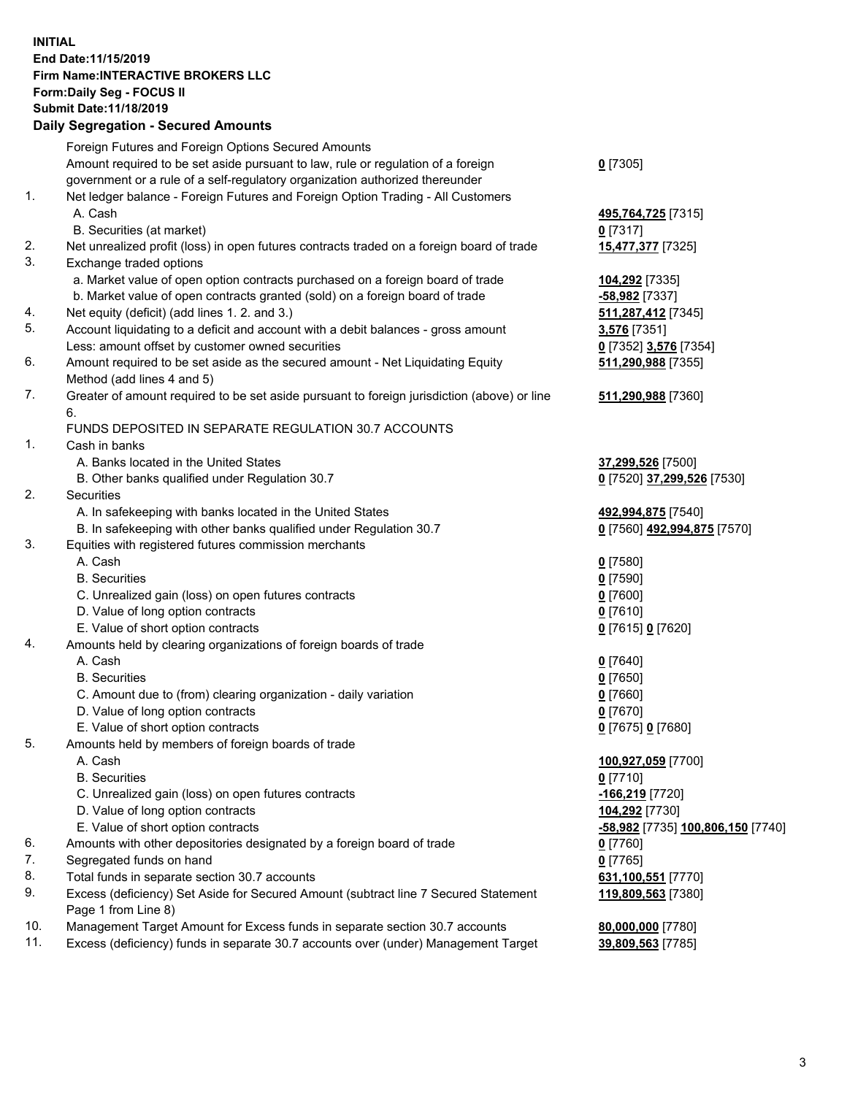## **INITIAL End Date:11/15/2019 Firm Name:INTERACTIVE BROKERS LLC Form:Daily Seg - FOCUS II Submit Date:11/18/2019 Daily Segregation - Secured Amounts**

|     | Daily Segregation - Secured Amounts                                                         |                                   |
|-----|---------------------------------------------------------------------------------------------|-----------------------------------|
|     | Foreign Futures and Foreign Options Secured Amounts                                         |                                   |
|     | Amount required to be set aside pursuant to law, rule or regulation of a foreign            | $0$ [7305]                        |
|     | government or a rule of a self-regulatory organization authorized thereunder                |                                   |
| 1.  | Net ledger balance - Foreign Futures and Foreign Option Trading - All Customers             |                                   |
|     | A. Cash                                                                                     | 495,764,725 [7315]                |
|     | B. Securities (at market)                                                                   | $0$ [7317]                        |
| 2.  | Net unrealized profit (loss) in open futures contracts traded on a foreign board of trade   | 15,477,377 [7325]                 |
| 3.  | Exchange traded options                                                                     |                                   |
|     | a. Market value of open option contracts purchased on a foreign board of trade              | 104,292 [7335]                    |
|     | b. Market value of open contracts granted (sold) on a foreign board of trade                | -58,982 [7337]                    |
| 4.  | Net equity (deficit) (add lines 1.2. and 3.)                                                | 511,287,412 [7345]                |
| 5.  | Account liquidating to a deficit and account with a debit balances - gross amount           | 3,576 [7351]                      |
|     | Less: amount offset by customer owned securities                                            | 0 [7352] 3,576 [7354]             |
| 6.  | Amount required to be set aside as the secured amount - Net Liquidating Equity              | 511,290,988 [7355]                |
|     | Method (add lines 4 and 5)                                                                  |                                   |
| 7.  | Greater of amount required to be set aside pursuant to foreign jurisdiction (above) or line | 511,290,988 [7360]                |
|     | 6.                                                                                          |                                   |
|     | FUNDS DEPOSITED IN SEPARATE REGULATION 30.7 ACCOUNTS                                        |                                   |
| 1.  | Cash in banks                                                                               |                                   |
|     | A. Banks located in the United States                                                       | 37,299,526 [7500]                 |
|     | B. Other banks qualified under Regulation 30.7                                              | 0 [7520] 37,299,526 [7530]        |
| 2.  | Securities                                                                                  |                                   |
|     | A. In safekeeping with banks located in the United States                                   | 492,994,875 [7540]                |
|     | B. In safekeeping with other banks qualified under Regulation 30.7                          | 0 [7560] 492,994,875 [7570]       |
| 3.  | Equities with registered futures commission merchants                                       |                                   |
|     | A. Cash                                                                                     | $0$ [7580]                        |
|     | <b>B.</b> Securities                                                                        | $0$ [7590]                        |
|     | C. Unrealized gain (loss) on open futures contracts                                         | $0$ [7600]                        |
|     | D. Value of long option contracts                                                           | $0$ [7610]                        |
|     | E. Value of short option contracts                                                          | 0 [7615] 0 [7620]                 |
| 4.  | Amounts held by clearing organizations of foreign boards of trade                           |                                   |
|     | A. Cash                                                                                     | $0$ [7640]                        |
|     | <b>B.</b> Securities                                                                        | $0$ [7650]                        |
|     | C. Amount due to (from) clearing organization - daily variation                             | $0$ [7660]                        |
|     | D. Value of long option contracts                                                           | $0$ [7670]                        |
| 5.  | E. Value of short option contracts                                                          | 0 [7675] 0 [7680]                 |
|     | Amounts held by members of foreign boards of trade                                          |                                   |
|     | A. Cash<br><b>B.</b> Securities                                                             | 100,927,059 [7700]<br>$0$ [7710]  |
|     | C. Unrealized gain (loss) on open futures contracts                                         | -166,219 [7720]                   |
|     | D. Value of long option contracts                                                           | 104,292 [7730]                    |
|     | E. Value of short option contracts                                                          | -58,982 [7735] 100,806,150 [7740] |
| 6.  | Amounts with other depositories designated by a foreign board of trade                      | $0$ [7760]                        |
| 7.  | Segregated funds on hand                                                                    | $0$ [7765]                        |
| 8.  | Total funds in separate section 30.7 accounts                                               | 631,100,551 [7770]                |
| 9.  | Excess (deficiency) Set Aside for Secured Amount (subtract line 7 Secured Statement         | 119,809,563 [7380]                |
|     | Page 1 from Line 8)                                                                         |                                   |
| 10. | Management Target Amount for Excess funds in separate section 30.7 accounts                 | 80,000,000 [7780]                 |
| 11. | Excess (deficiency) funds in separate 30.7 accounts over (under) Management Target          | 39,809,563 [7785]                 |
|     |                                                                                             |                                   |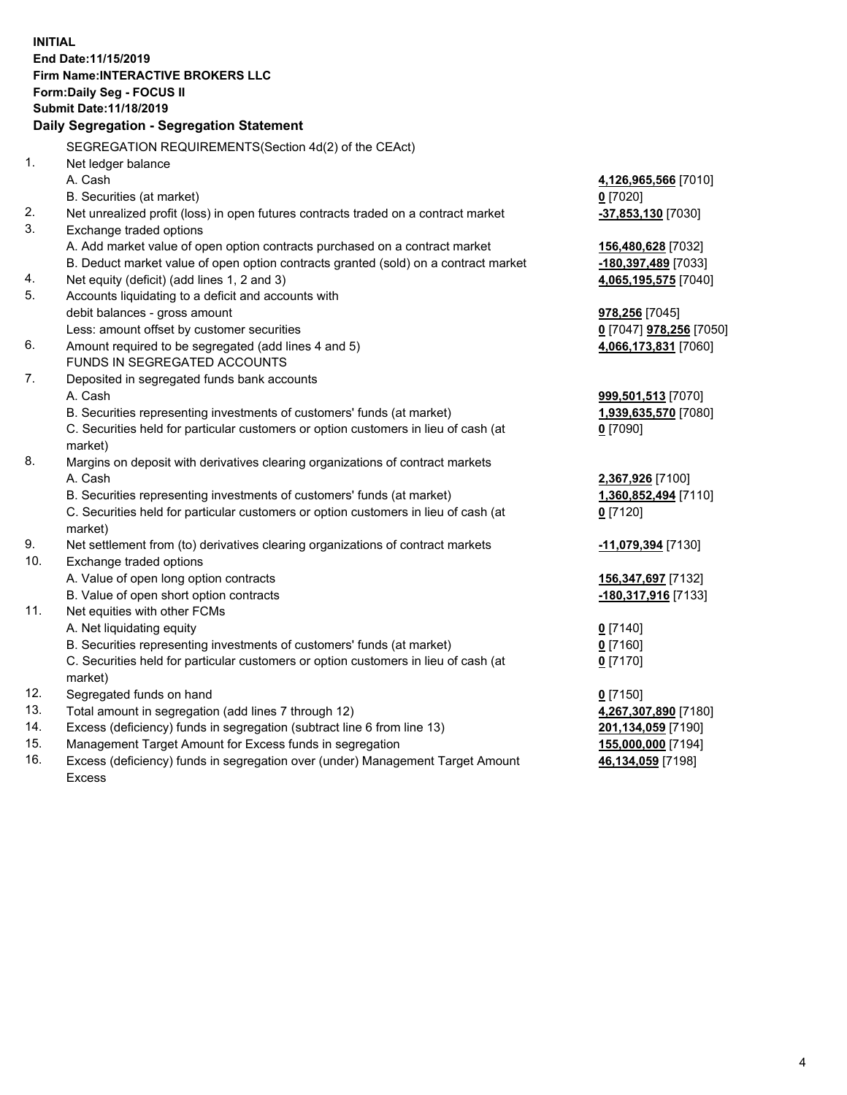**INITIAL End Date:11/15/2019 Firm Name:INTERACTIVE BROKERS LLC Form:Daily Seg - FOCUS II Submit Date:11/18/2019 Daily Segregation - Segregation Statement** SEGREGATION REQUIREMENTS(Section 4d(2) of the CEAct) 1. Net ledger balance A. Cash **4,126,965,566** [7010] B. Securities (at market) **0** [7020] 2. Net unrealized profit (loss) in open futures contracts traded on a contract market **-37,853,130** [7030] 3. Exchange traded options A. Add market value of open option contracts purchased on a contract market **156,480,628** [7032] B. Deduct market value of open option contracts granted (sold) on a contract market **-180,397,489** [7033] 4. Net equity (deficit) (add lines 1, 2 and 3) **4,065,195,575** [7040] 5. Accounts liquidating to a deficit and accounts with debit balances - gross amount **978,256** [7045] Less: amount offset by customer securities **0** [7047] **978,256** [7050] 6. Amount required to be segregated (add lines 4 and 5) **4,066,173,831** [7060] FUNDS IN SEGREGATED ACCOUNTS 7. Deposited in segregated funds bank accounts A. Cash **999,501,513** [7070] B. Securities representing investments of customers' funds (at market) **1,939,635,570** [7080] C. Securities held for particular customers or option customers in lieu of cash (at market) **0** [7090] 8. Margins on deposit with derivatives clearing organizations of contract markets A. Cash **2,367,926** [7100] B. Securities representing investments of customers' funds (at market) **1,360,852,494** [7110] C. Securities held for particular customers or option customers in lieu of cash (at market) **0** [7120] 9. Net settlement from (to) derivatives clearing organizations of contract markets **-11,079,394** [7130] 10. Exchange traded options A. Value of open long option contracts **156,347,697** [7132] B. Value of open short option contracts **-180,317,916** [7133] 11. Net equities with other FCMs A. Net liquidating equity **0** [7140] B. Securities representing investments of customers' funds (at market) **0** [7160] C. Securities held for particular customers or option customers in lieu of cash (at market) **0** [7170] 12. Segregated funds on hand **0** [7150] 13. Total amount in segregation (add lines 7 through 12) **4,267,307,890** [7180] 14. Excess (deficiency) funds in segregation (subtract line 6 from line 13) **201,134,059** [7190] 15. Management Target Amount for Excess funds in segregation **155,000,000** [7194] **46,134,059** [7198]

16. Excess (deficiency) funds in segregation over (under) Management Target Amount Excess